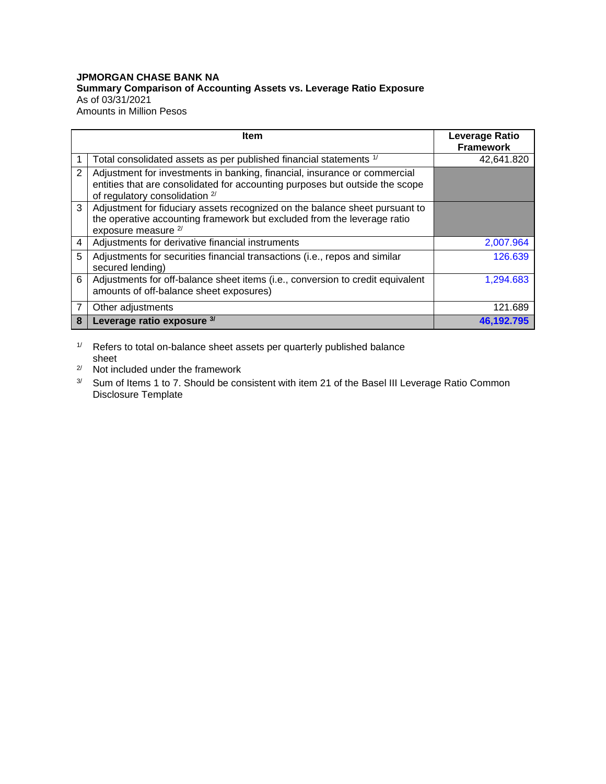## **JPMORGAN CHASE BANK NA Summary Comparison of Accounting Assets vs. Leverage Ratio Exposure** As of 03/31/2021 Amounts in Million Pesos

|   | <b>Item</b>                                                                                                                                                                                 | <b>Leverage Ratio</b> |
|---|---------------------------------------------------------------------------------------------------------------------------------------------------------------------------------------------|-----------------------|
|   |                                                                                                                                                                                             | <b>Framework</b>      |
|   | Total consolidated assets as per published financial statements 1/                                                                                                                          | 42,641.820            |
| 2 | Adjustment for investments in banking, financial, insurance or commercial<br>entities that are consolidated for accounting purposes but outside the scope<br>of regulatory consolidation 2/ |                       |
| 3 | Adjustment for fiduciary assets recognized on the balance sheet pursuant to<br>the operative accounting framework but excluded from the leverage ratio<br>exposure measure <sup>2/</sup>    |                       |
| 4 | Adjustments for derivative financial instruments                                                                                                                                            | 2,007.964             |
| 5 | Adjustments for securities financial transactions (i.e., repos and similar<br>secured lending)                                                                                              | 126.639               |
| 6 | Adjustments for off-balance sheet items (i.e., conversion to credit equivalent<br>amounts of off-balance sheet exposures)                                                                   | 1,294.683             |
| 7 | Other adjustments                                                                                                                                                                           | 121.689               |
| 8 | Leverage ratio exposure 3/                                                                                                                                                                  | 46.192.795            |

1/ Refers to total on-balance sheet assets per quarterly published balance sheet

- 2/ Not included under the framework
- <sup>3/</sup> Sum of Items 1 to 7. Should be consistent with item 21 of the Basel III Leverage Ratio Common Disclosure Template